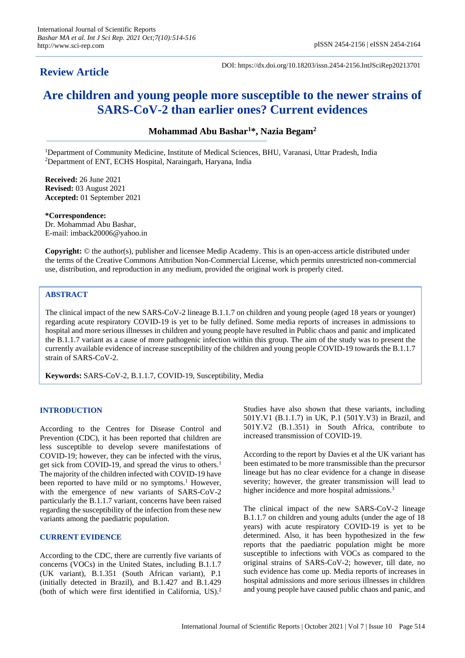# **Review Article**

DOI: https://dx.doi.org/10.18203/issn.2454-2156.IntJSciRep20213701

# **Are children and young people more susceptible to the newer strains of SARS-CoV-2 than earlier ones? Current evidences**

**Mohammad Abu Bashar<sup>1</sup>\*, Nazia Begam<sup>2</sup>**

<sup>1</sup>Department of Community Medicine, Institute of Medical Sciences, BHU, Varanasi, Uttar Pradesh, India <sup>2</sup>Department of ENT, ECHS Hospital, Naraingarh, Haryana, India

**Received:** 26 June 2021 **Revised:** 03 August 2021 **Accepted:** 01 September 2021

**\*Correspondence:** Dr. Mohammad Abu Bashar, E-mail: imback20006@yahoo.in

**Copyright:** © the author(s), publisher and licensee Medip Academy. This is an open-access article distributed under the terms of the Creative Commons Attribution Non-Commercial License, which permits unrestricted non-commercial use, distribution, and reproduction in any medium, provided the original work is properly cited.

# **ABSTRACT**

The clinical impact of the new SARS-CoV-2 lineage B.1.1.7 on children and young people (aged 18 years or younger) regarding acute respiratory COVID-19 is yet to be fully defined. Some media reports of increases in admissions to hospital and more serious illnesses in children and young people have resulted in Public chaos and panic and implicated the B.1.1.7 variant as a cause of more pathogenic infection within this group. The aim of the study was to present the currently available evidence of increase susceptibility of the children and young people COVID-19 towards the B.1.1.7 strain of SARS-CoV-2.

**Keywords:** SARS-CoV-2, B.1.1.7, COVID-19, Susceptibility, Media

## **INTRODUCTION**

According to the Centres for Disease Control and Prevention (CDC), it has been reported that children are less susceptible to develop severe manifestations of COVID-19; however, they can be infected with the virus, get sick from COVID-19, and spread the virus to others.<sup>1</sup> The majority of the children infected with COVID-19 have been reported to have mild or no symptoms.<sup>1</sup> However, with the emergence of new variants of SARS-CoV-2 particularly the B.1.1.7 variant, concerns have been raised regarding the susceptibility of the infection from these new variants among the paediatric population.

## **CURRENT EVIDENCE**

According to the CDC, there are currently five variants of concerns (VOCs) in the United States, including B.1.1.7 (UK variant), B.1.351 (South African variant), P.1 (initially detected in Brazil), and B.1.427 and B.1.429 (both of which were first identified in California, US).<sup>2</sup>

Studies have also shown that these variants, including 501Y.V1 (B.1.1.7) in UK, P.1 (501Y.V3) in Brazil, and 501Y.V2 (B.1.351) in South Africa, contribute to increased transmission of COVID-19.

According to the report by Davies et al the UK variant has been estimated to be more transmissible than the precursor lineage but has no clear evidence for a change in disease severity; however, the greater transmission will lead to higher incidence and more hospital admissions.<sup>3</sup>

The clinical impact of the new SARS-CoV-2 lineage B.1.1.7 on children and young adults (under the age of 18 years) with acute respiratory COVID-19 is yet to be determined. Also, it has been hypothesized in the few reports that the paediatric population might be more susceptible to infections with VOCs as compared to the original strains of SARS-CoV-2; however, till date, no such evidence has come up. Media reports of increases in hospital admissions and more serious illnesses in children and young people have caused public chaos and panic, and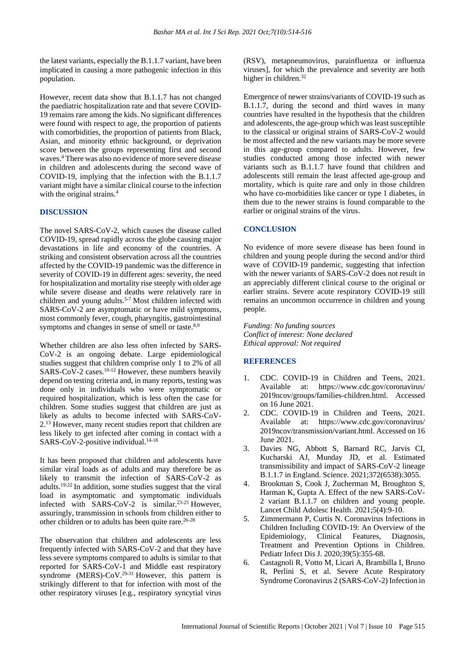the latest variants, especially the B.1.1.7 variant, have been implicated in causing a more pathogenic infection in this population.

However, recent data show that B.1.1.7 has not changed the paediatric hospitalization rate and that severe COVID-19 remains rare among the kids. No significant differences were found with respect to age, the proportion of patients with comorbidities, the proportion of patients from Black, Asian, and minority ethnic background, or deprivation score between the groups representing first and second waves.<sup>4</sup> There was also no evidence of more severe disease in children and adolescents during the second wave of COVID-19, implying that the infection with the B.1.1.7 variant might have a similar clinical course to the infection with the original strains.<sup>4</sup>

#### **DISCUSSION**

The novel SARS-CoV-2, which causes the disease called COVID-19, spread rapidly across the globe causing major devastations in life and economy of the countries. A striking and consistent observation across all the countries affected by the COVID-19 pandemic was the difference in severity of COVID-19 in different ages: severity, the need for hospitalization and mortality rise steeply with older age while severe disease and deaths were relatively rare in children and young adults.<sup>5-7</sup> Most children infected with SARS-CoV-2 are asymptomatic or have mild symptoms, most commonly fever, cough, pharyngitis, gastrointestinal symptoms and changes in sense of smell or taste.<sup>8,9</sup>

Whether children are also less often infected by SARS-CoV-2 is an ongoing debate. Large epidemiological studies suggest that children comprise only 1 to 2% of all SARS-CoV-2 cases. $10-12$  However, these numbers heavily depend on testing criteria and, in many reports, testing was done only in individuals who were symptomatic or required hospitalization, which is less often the case for children. Some studies suggest that children are just as likely as adults to become infected with SARS-CoV-2.<sup>13</sup> However, many recent studies report that children are less likely to get infected after coming in contact with a SARS-CoV-2-positive individual.<sup>14-18</sup>

It has been proposed that children and adolescents have similar viral loads as of adults and may therefore be as likely to transmit the infection of SARS-CoV-2 as adults.<sup>19-22</sup> In addition, some studies suggest that the viral load in asymptomatic and symptomatic individuals infected with SARS-CoV-2 is similar.<sup>23-25</sup> However, assuringly, transmission in schools from children either to other children or to adults has been quite rare.26-28

The observation that children and adolescents are less frequently infected with SARS-CoV-2 and that they have less severe symptoms compared to adults is similar to that reported for SARS-CoV-1 and Middle east respiratory syndrome (MERS)-CoV.<sup>29-31</sup> However, this pattern is strikingly different to that for infection with most of the other respiratory viruses [e.g., respiratory syncytial virus

(RSV), metapneumovirus, parainfluenza or influenza viruses], for which the prevalence and severity are both higher in children.<sup>32</sup>

Emergence of newer strains/variants of COVID-19 such as B.1.1.7, during the second and third waves in many countries have resulted in the hypothesis that the children and adolescents, the age-group which was least susceptible to the classical or original strains of SARS-CoV-2 would be most affected and the new variants may be more severe in this age-group compared to adults. However, few studies conducted among those infected with newer variants such as B.1.1.7 have found that children and adolescents still remain the least affected age-group and mortality, which is quite rare and only in those children who have co-morbidities like cancer or type 1 diabetes, in them due to the newer strains is found comparable to the earlier or original strains of the virus.

### **CONCLUSION**

No evidence of more severe disease has been found in children and young people during the second and/or third wave of COVID-19 pandemic, suggesting that infection with the newer variants of SARS-CoV-2 does not result in an appreciably different clinical course to the original or earlier strains. Severe acute respiratory COVID-19 still remains an uncommon occurrence in children and young people.

*Funding: No funding sources Conflict of interest: None declared Ethical approval: Not required*

#### **REFERENCES**

- 1. CDC. COVID-19 in Children and Teens, 2021. Available at: https://www.cdc.gov/coronavirus/ 2019ncov/groups/families-children.html. Accessed on 16 June 2021.
- 2. CDC. COVID-19 in Children and Teens, 2021. Available at: https://www.cdc.gov/coronavirus/ 2019ncov/transmission/variant.html. Accessed on 16 June 2021.
- 3. Davies NG, Abbott S, Barnard RC, Jarvis CI, Kucharski AJ, Munday JD, et al. Estimated transmissibility and impact of SARS-CoV-2 lineage B.1.1.7 in England. Science. 2021;372(6538):3055.
- 4. Brookman S, Cook J, Zucherman M, Broughton S, Harman K, Gupta A. Effect of the new SARS-CoV-2 variant B.1.1.7 on children and young people. Lancet Child Adolesc Health. 2021;5(4):9-10.
- 5. Zimmermann P, Curtis N. Coronavirus Infections in Children Including COVID-19: An Overview of the Epidemiology, Clinical Features, Diagnosis, Treatment and Prevention Options in Children. Pediatr Infect Dis J. 2020;39(5):355-68.
- 6. Castagnoli R, Votto M, Licari A, Brambilla I, Bruno R, Perlini S, et al. Severe Acute Respiratory Syndrome Coronavirus 2 (SARS-CoV-2) Infection in